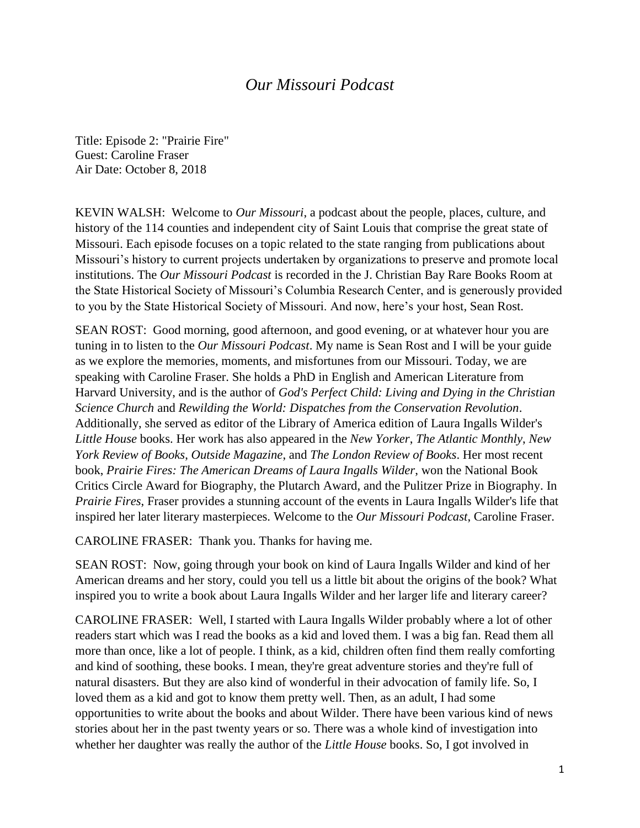## *Our Missouri Podcast*

Title: Episode 2: "Prairie Fire" Guest: Caroline Fraser Air Date: October 8, 2018

KEVIN WALSH: Welcome to *Our Missouri*, a podcast about the people, places, culture, and history of the 114 counties and independent city of Saint Louis that comprise the great state of Missouri. Each episode focuses on a topic related to the state ranging from publications about Missouri's history to current projects undertaken by organizations to preserve and promote local institutions. The *Our Missouri Podcast* is recorded in the J. Christian Bay Rare Books Room at the State Historical Society of Missouri's Columbia Research Center, and is generously provided to you by the State Historical Society of Missouri. And now, here's your host, Sean Rost.

SEAN ROST: Good morning, good afternoon, and good evening, or at whatever hour you are tuning in to listen to the *Our Missouri Podcast*. My name is Sean Rost and I will be your guide as we explore the memories, moments, and misfortunes from our Missouri. Today, we are speaking with Caroline Fraser. She holds a PhD in English and American Literature from Harvard University, and is the author of *God's Perfect Child: Living and Dying in the Christian Science Church* and *Rewilding the World: Dispatches from the Conservation Revolution*. Additionally, she served as editor of the Library of America edition of Laura Ingalls Wilder's *Little House* books. Her work has also appeared in the *New Yorker*, *The Atlantic Monthly*, *New York Review of Books*, *Outside Magazine*, and *The London Review of Books*. Her most recent book, *Prairie Fires: The American Dreams of Laura Ingalls Wilder*, won the National Book Critics Circle Award for Biography, the Plutarch Award, and the Pulitzer Prize in Biography. In *Prairie Fires*, Fraser provides a stunning account of the events in Laura Ingalls Wilder's life that inspired her later literary masterpieces. Welcome to the *Our Missouri Podcast*, Caroline Fraser.

CAROLINE FRASER: Thank you. Thanks for having me.

SEAN ROST: Now, going through your book on kind of Laura Ingalls Wilder and kind of her American dreams and her story, could you tell us a little bit about the origins of the book? What inspired you to write a book about Laura Ingalls Wilder and her larger life and literary career?

CAROLINE FRASER: Well, I started with Laura Ingalls Wilder probably where a lot of other readers start which was I read the books as a kid and loved them. I was a big fan. Read them all more than once, like a lot of people. I think, as a kid, children often find them really comforting and kind of soothing, these books. I mean, they're great adventure stories and they're full of natural disasters. But they are also kind of wonderful in their advocation of family life. So, I loved them as a kid and got to know them pretty well. Then, as an adult, I had some opportunities to write about the books and about Wilder. There have been various kind of news stories about her in the past twenty years or so. There was a whole kind of investigation into whether her daughter was really the author of the *Little House* books. So, I got involved in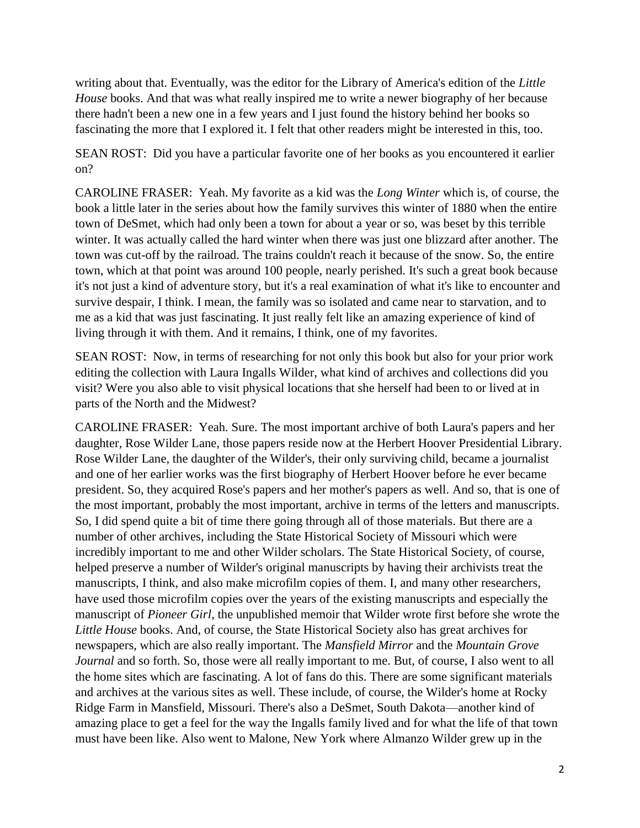writing about that. Eventually, was the editor for the Library of America's edition of the *Little House* books. And that was what really inspired me to write a newer biography of her because there hadn't been a new one in a few years and I just found the history behind her books so fascinating the more that I explored it. I felt that other readers might be interested in this, too.

SEAN ROST: Did you have a particular favorite one of her books as you encountered it earlier on?

CAROLINE FRASER: Yeah. My favorite as a kid was the *Long Winter* which is, of course, the book a little later in the series about how the family survives this winter of 1880 when the entire town of DeSmet, which had only been a town for about a year or so, was beset by this terrible winter. It was actually called the hard winter when there was just one blizzard after another. The town was cut-off by the railroad. The trains couldn't reach it because of the snow. So, the entire town, which at that point was around 100 people, nearly perished. It's such a great book because it's not just a kind of adventure story, but it's a real examination of what it's like to encounter and survive despair, I think. I mean, the family was so isolated and came near to starvation, and to me as a kid that was just fascinating. It just really felt like an amazing experience of kind of living through it with them. And it remains, I think, one of my favorites.

SEAN ROST: Now, in terms of researching for not only this book but also for your prior work editing the collection with Laura Ingalls Wilder, what kind of archives and collections did you visit? Were you also able to visit physical locations that she herself had been to or lived at in parts of the North and the Midwest?

CAROLINE FRASER: Yeah. Sure. The most important archive of both Laura's papers and her daughter, Rose Wilder Lane, those papers reside now at the Herbert Hoover Presidential Library. Rose Wilder Lane, the daughter of the Wilder's, their only surviving child, became a journalist and one of her earlier works was the first biography of Herbert Hoover before he ever became president. So, they acquired Rose's papers and her mother's papers as well. And so, that is one of the most important, probably the most important, archive in terms of the letters and manuscripts. So, I did spend quite a bit of time there going through all of those materials. But there are a number of other archives, including the State Historical Society of Missouri which were incredibly important to me and other Wilder scholars. The State Historical Society, of course, helped preserve a number of Wilder's original manuscripts by having their archivists treat the manuscripts, I think, and also make microfilm copies of them. I, and many other researchers, have used those microfilm copies over the years of the existing manuscripts and especially the manuscript of *Pioneer Girl*, the unpublished memoir that Wilder wrote first before she wrote the *Little House* books. And, of course, the State Historical Society also has great archives for newspapers, which are also really important. The *Mansfield Mirror* and the *Mountain Grove Journal* and so forth. So, those were all really important to me. But, of course, I also went to all the home sites which are fascinating. A lot of fans do this. There are some significant materials and archives at the various sites as well. These include, of course, the Wilder's home at Rocky Ridge Farm in Mansfield, Missouri. There's also a DeSmet, South Dakota—another kind of amazing place to get a feel for the way the Ingalls family lived and for what the life of that town must have been like. Also went to Malone, New York where Almanzo Wilder grew up in the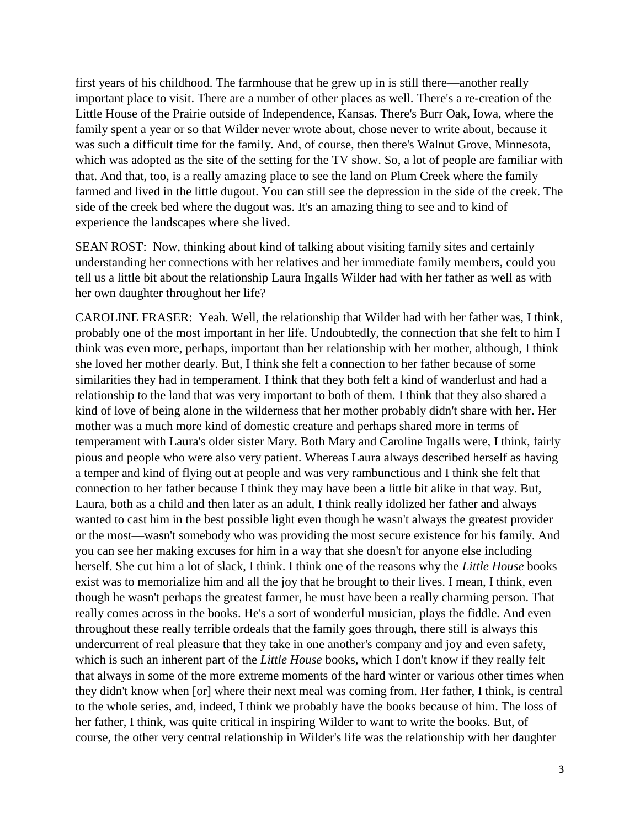first years of his childhood. The farmhouse that he grew up in is still there—another really important place to visit. There are a number of other places as well. There's a re-creation of the Little House of the Prairie outside of Independence, Kansas. There's Burr Oak, Iowa, where the family spent a year or so that Wilder never wrote about, chose never to write about, because it was such a difficult time for the family. And, of course, then there's Walnut Grove, Minnesota, which was adopted as the site of the setting for the TV show. So, a lot of people are familiar with that. And that, too, is a really amazing place to see the land on Plum Creek where the family farmed and lived in the little dugout. You can still see the depression in the side of the creek. The side of the creek bed where the dugout was. It's an amazing thing to see and to kind of experience the landscapes where she lived.

SEAN ROST: Now, thinking about kind of talking about visiting family sites and certainly understanding her connections with her relatives and her immediate family members, could you tell us a little bit about the relationship Laura Ingalls Wilder had with her father as well as with her own daughter throughout her life?

CAROLINE FRASER: Yeah. Well, the relationship that Wilder had with her father was, I think, probably one of the most important in her life. Undoubtedly, the connection that she felt to him I think was even more, perhaps, important than her relationship with her mother, although, I think she loved her mother dearly. But, I think she felt a connection to her father because of some similarities they had in temperament. I think that they both felt a kind of wanderlust and had a relationship to the land that was very important to both of them. I think that they also shared a kind of love of being alone in the wilderness that her mother probably didn't share with her. Her mother was a much more kind of domestic creature and perhaps shared more in terms of temperament with Laura's older sister Mary. Both Mary and Caroline Ingalls were, I think, fairly pious and people who were also very patient. Whereas Laura always described herself as having a temper and kind of flying out at people and was very rambunctious and I think she felt that connection to her father because I think they may have been a little bit alike in that way. But, Laura, both as a child and then later as an adult, I think really idolized her father and always wanted to cast him in the best possible light even though he wasn't always the greatest provider or the most—wasn't somebody who was providing the most secure existence for his family. And you can see her making excuses for him in a way that she doesn't for anyone else including herself. She cut him a lot of slack, I think. I think one of the reasons why the *Little House* books exist was to memorialize him and all the joy that he brought to their lives. I mean, I think, even though he wasn't perhaps the greatest farmer, he must have been a really charming person. That really comes across in the books. He's a sort of wonderful musician, plays the fiddle. And even throughout these really terrible ordeals that the family goes through, there still is always this undercurrent of real pleasure that they take in one another's company and joy and even safety, which is such an inherent part of the *Little House* books, which I don't know if they really felt that always in some of the more extreme moments of the hard winter or various other times when they didn't know when [or] where their next meal was coming from. Her father, I think, is central to the whole series, and, indeed, I think we probably have the books because of him. The loss of her father, I think, was quite critical in inspiring Wilder to want to write the books. But, of course, the other very central relationship in Wilder's life was the relationship with her daughter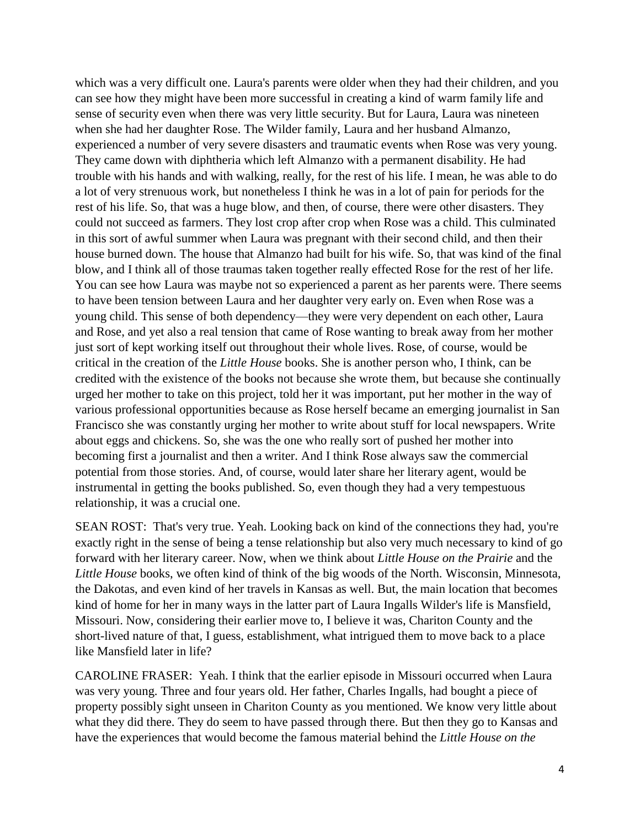which was a very difficult one. Laura's parents were older when they had their children, and you can see how they might have been more successful in creating a kind of warm family life and sense of security even when there was very little security. But for Laura, Laura was nineteen when she had her daughter Rose. The Wilder family, Laura and her husband Almanzo, experienced a number of very severe disasters and traumatic events when Rose was very young. They came down with diphtheria which left Almanzo with a permanent disability. He had trouble with his hands and with walking, really, for the rest of his life. I mean, he was able to do a lot of very strenuous work, but nonetheless I think he was in a lot of pain for periods for the rest of his life. So, that was a huge blow, and then, of course, there were other disasters. They could not succeed as farmers. They lost crop after crop when Rose was a child. This culminated in this sort of awful summer when Laura was pregnant with their second child, and then their house burned down. The house that Almanzo had built for his wife. So, that was kind of the final blow, and I think all of those traumas taken together really effected Rose for the rest of her life. You can see how Laura was maybe not so experienced a parent as her parents were. There seems to have been tension between Laura and her daughter very early on. Even when Rose was a young child. This sense of both dependency—they were very dependent on each other, Laura and Rose, and yet also a real tension that came of Rose wanting to break away from her mother just sort of kept working itself out throughout their whole lives. Rose, of course, would be critical in the creation of the *Little House* books. She is another person who, I think, can be credited with the existence of the books not because she wrote them, but because she continually urged her mother to take on this project, told her it was important, put her mother in the way of various professional opportunities because as Rose herself became an emerging journalist in San Francisco she was constantly urging her mother to write about stuff for local newspapers. Write about eggs and chickens. So, she was the one who really sort of pushed her mother into becoming first a journalist and then a writer. And I think Rose always saw the commercial potential from those stories. And, of course, would later share her literary agent, would be instrumental in getting the books published. So, even though they had a very tempestuous relationship, it was a crucial one.

SEAN ROST: That's very true. Yeah. Looking back on kind of the connections they had, you're exactly right in the sense of being a tense relationship but also very much necessary to kind of go forward with her literary career. Now, when we think about *Little House on the Prairie* and the *Little House* books, we often kind of think of the big woods of the North. Wisconsin, Minnesota, the Dakotas, and even kind of her travels in Kansas as well. But, the main location that becomes kind of home for her in many ways in the latter part of Laura Ingalls Wilder's life is Mansfield, Missouri. Now, considering their earlier move to, I believe it was, Chariton County and the short-lived nature of that, I guess, establishment, what intrigued them to move back to a place like Mansfield later in life?

CAROLINE FRASER: Yeah. I think that the earlier episode in Missouri occurred when Laura was very young. Three and four years old. Her father, Charles Ingalls, had bought a piece of property possibly sight unseen in Chariton County as you mentioned. We know very little about what they did there. They do seem to have passed through there. But then they go to Kansas and have the experiences that would become the famous material behind the *Little House on the*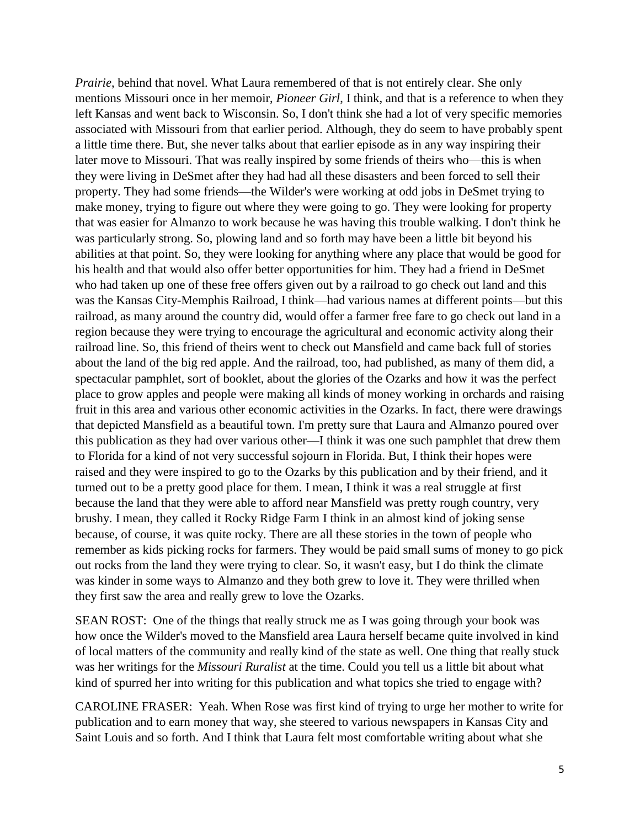*Prairie*, behind that novel. What Laura remembered of that is not entirely clear. She only mentions Missouri once in her memoir, *Pioneer Girl*, I think, and that is a reference to when they left Kansas and went back to Wisconsin. So, I don't think she had a lot of very specific memories associated with Missouri from that earlier period. Although, they do seem to have probably spent a little time there. But, she never talks about that earlier episode as in any way inspiring their later move to Missouri. That was really inspired by some friends of theirs who—this is when they were living in DeSmet after they had had all these disasters and been forced to sell their property. They had some friends—the Wilder's were working at odd jobs in DeSmet trying to make money, trying to figure out where they were going to go. They were looking for property that was easier for Almanzo to work because he was having this trouble walking. I don't think he was particularly strong. So, plowing land and so forth may have been a little bit beyond his abilities at that point. So, they were looking for anything where any place that would be good for his health and that would also offer better opportunities for him. They had a friend in DeSmet who had taken up one of these free offers given out by a railroad to go check out land and this was the Kansas City-Memphis Railroad, I think—had various names at different points—but this railroad, as many around the country did, would offer a farmer free fare to go check out land in a region because they were trying to encourage the agricultural and economic activity along their railroad line. So, this friend of theirs went to check out Mansfield and came back full of stories about the land of the big red apple. And the railroad, too, had published, as many of them did, a spectacular pamphlet, sort of booklet, about the glories of the Ozarks and how it was the perfect place to grow apples and people were making all kinds of money working in orchards and raising fruit in this area and various other economic activities in the Ozarks. In fact, there were drawings that depicted Mansfield as a beautiful town. I'm pretty sure that Laura and Almanzo poured over this publication as they had over various other—I think it was one such pamphlet that drew them to Florida for a kind of not very successful sojourn in Florida. But, I think their hopes were raised and they were inspired to go to the Ozarks by this publication and by their friend, and it turned out to be a pretty good place for them. I mean, I think it was a real struggle at first because the land that they were able to afford near Mansfield was pretty rough country, very brushy. I mean, they called it Rocky Ridge Farm I think in an almost kind of joking sense because, of course, it was quite rocky. There are all these stories in the town of people who remember as kids picking rocks for farmers. They would be paid small sums of money to go pick out rocks from the land they were trying to clear. So, it wasn't easy, but I do think the climate was kinder in some ways to Almanzo and they both grew to love it. They were thrilled when they first saw the area and really grew to love the Ozarks.

SEAN ROST: One of the things that really struck me as I was going through your book was how once the Wilder's moved to the Mansfield area Laura herself became quite involved in kind of local matters of the community and really kind of the state as well. One thing that really stuck was her writings for the *Missouri Ruralist* at the time. Could you tell us a little bit about what kind of spurred her into writing for this publication and what topics she tried to engage with?

CAROLINE FRASER: Yeah. When Rose was first kind of trying to urge her mother to write for publication and to earn money that way, she steered to various newspapers in Kansas City and Saint Louis and so forth. And I think that Laura felt most comfortable writing about what she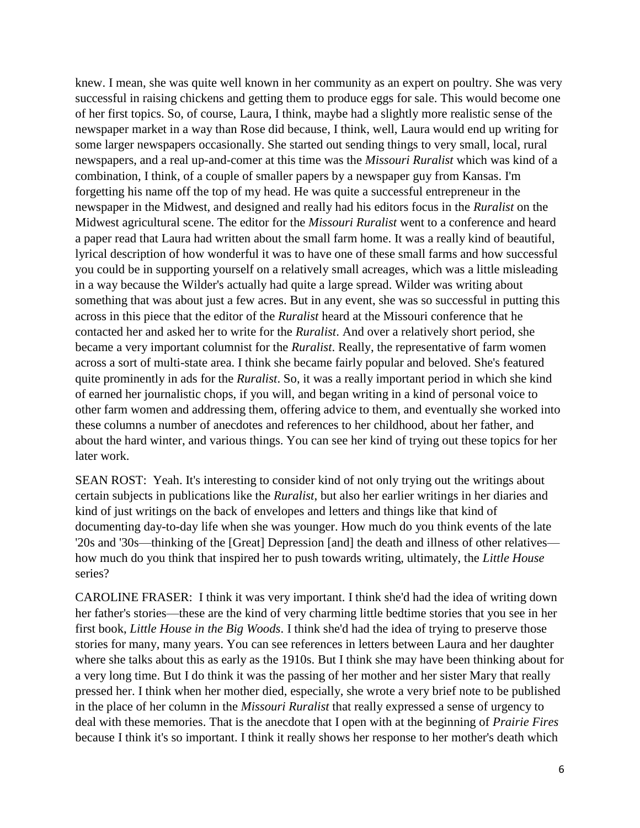knew. I mean, she was quite well known in her community as an expert on poultry. She was very successful in raising chickens and getting them to produce eggs for sale. This would become one of her first topics. So, of course, Laura, I think, maybe had a slightly more realistic sense of the newspaper market in a way than Rose did because, I think, well, Laura would end up writing for some larger newspapers occasionally. She started out sending things to very small, local, rural newspapers, and a real up-and-comer at this time was the *Missouri Ruralist* which was kind of a combination, I think, of a couple of smaller papers by a newspaper guy from Kansas. I'm forgetting his name off the top of my head. He was quite a successful entrepreneur in the newspaper in the Midwest, and designed and really had his editors focus in the *Ruralist* on the Midwest agricultural scene. The editor for the *Missouri Ruralist* went to a conference and heard a paper read that Laura had written about the small farm home. It was a really kind of beautiful, lyrical description of how wonderful it was to have one of these small farms and how successful you could be in supporting yourself on a relatively small acreages, which was a little misleading in a way because the Wilder's actually had quite a large spread. Wilder was writing about something that was about just a few acres. But in any event, she was so successful in putting this across in this piece that the editor of the *Ruralist* heard at the Missouri conference that he contacted her and asked her to write for the *Ruralist*. And over a relatively short period, she became a very important columnist for the *Ruralist*. Really, the representative of farm women across a sort of multi-state area. I think she became fairly popular and beloved. She's featured quite prominently in ads for the *Ruralist*. So, it was a really important period in which she kind of earned her journalistic chops, if you will, and began writing in a kind of personal voice to other farm women and addressing them, offering advice to them, and eventually she worked into these columns a number of anecdotes and references to her childhood, about her father, and about the hard winter, and various things. You can see her kind of trying out these topics for her later work.

SEAN ROST: Yeah. It's interesting to consider kind of not only trying out the writings about certain subjects in publications like the *Ruralist*, but also her earlier writings in her diaries and kind of just writings on the back of envelopes and letters and things like that kind of documenting day-to-day life when she was younger. How much do you think events of the late '20s and '30s—thinking of the [Great] Depression [and] the death and illness of other relatives how much do you think that inspired her to push towards writing, ultimately, the *Little House* series?

CAROLINE FRASER: I think it was very important. I think she'd had the idea of writing down her father's stories—these are the kind of very charming little bedtime stories that you see in her first book, *Little House in the Big Woods*. I think she'd had the idea of trying to preserve those stories for many, many years. You can see references in letters between Laura and her daughter where she talks about this as early as the 1910s. But I think she may have been thinking about for a very long time. But I do think it was the passing of her mother and her sister Mary that really pressed her. I think when her mother died, especially, she wrote a very brief note to be published in the place of her column in the *Missouri Ruralist* that really expressed a sense of urgency to deal with these memories. That is the anecdote that I open with at the beginning of *Prairie Fires* because I think it's so important. I think it really shows her response to her mother's death which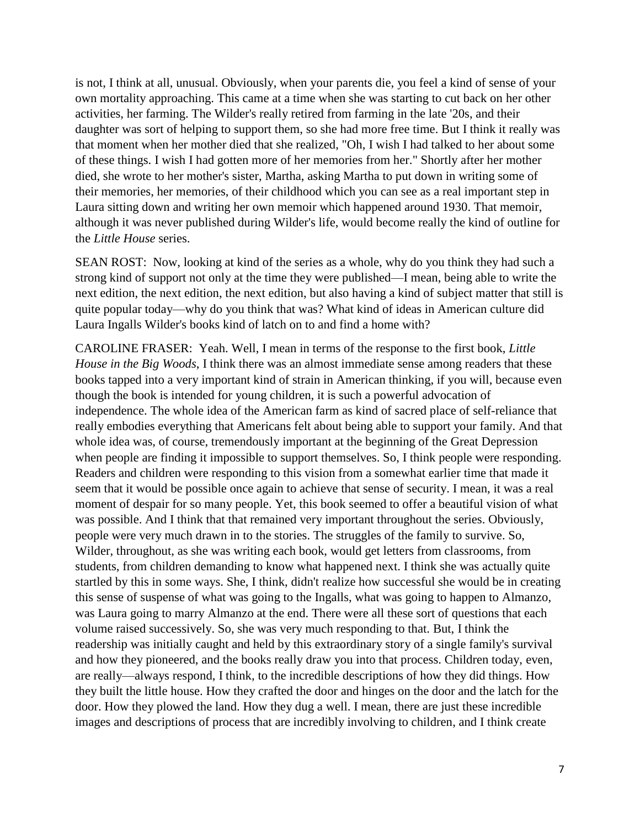is not, I think at all, unusual. Obviously, when your parents die, you feel a kind of sense of your own mortality approaching. This came at a time when she was starting to cut back on her other activities, her farming. The Wilder's really retired from farming in the late '20s, and their daughter was sort of helping to support them, so she had more free time. But I think it really was that moment when her mother died that she realized, "Oh, I wish I had talked to her about some of these things. I wish I had gotten more of her memories from her." Shortly after her mother died, she wrote to her mother's sister, Martha, asking Martha to put down in writing some of their memories, her memories, of their childhood which you can see as a real important step in Laura sitting down and writing her own memoir which happened around 1930. That memoir, although it was never published during Wilder's life, would become really the kind of outline for the *Little House* series.

SEAN ROST: Now, looking at kind of the series as a whole, why do you think they had such a strong kind of support not only at the time they were published—I mean, being able to write the next edition, the next edition, the next edition, but also having a kind of subject matter that still is quite popular today—why do you think that was? What kind of ideas in American culture did Laura Ingalls Wilder's books kind of latch on to and find a home with?

CAROLINE FRASER: Yeah. Well, I mean in terms of the response to the first book, *Little House in the Big Woods*, I think there was an almost immediate sense among readers that these books tapped into a very important kind of strain in American thinking, if you will, because even though the book is intended for young children, it is such a powerful advocation of independence. The whole idea of the American farm as kind of sacred place of self-reliance that really embodies everything that Americans felt about being able to support your family. And that whole idea was, of course, tremendously important at the beginning of the Great Depression when people are finding it impossible to support themselves. So, I think people were responding. Readers and children were responding to this vision from a somewhat earlier time that made it seem that it would be possible once again to achieve that sense of security. I mean, it was a real moment of despair for so many people. Yet, this book seemed to offer a beautiful vision of what was possible. And I think that that remained very important throughout the series. Obviously, people were very much drawn in to the stories. The struggles of the family to survive. So, Wilder, throughout, as she was writing each book, would get letters from classrooms, from students, from children demanding to know what happened next. I think she was actually quite startled by this in some ways. She, I think, didn't realize how successful she would be in creating this sense of suspense of what was going to the Ingalls, what was going to happen to Almanzo, was Laura going to marry Almanzo at the end. There were all these sort of questions that each volume raised successively. So, she was very much responding to that. But, I think the readership was initially caught and held by this extraordinary story of a single family's survival and how they pioneered, and the books really draw you into that process. Children today, even, are really—always respond, I think, to the incredible descriptions of how they did things. How they built the little house. How they crafted the door and hinges on the door and the latch for the door. How they plowed the land. How they dug a well. I mean, there are just these incredible images and descriptions of process that are incredibly involving to children, and I think create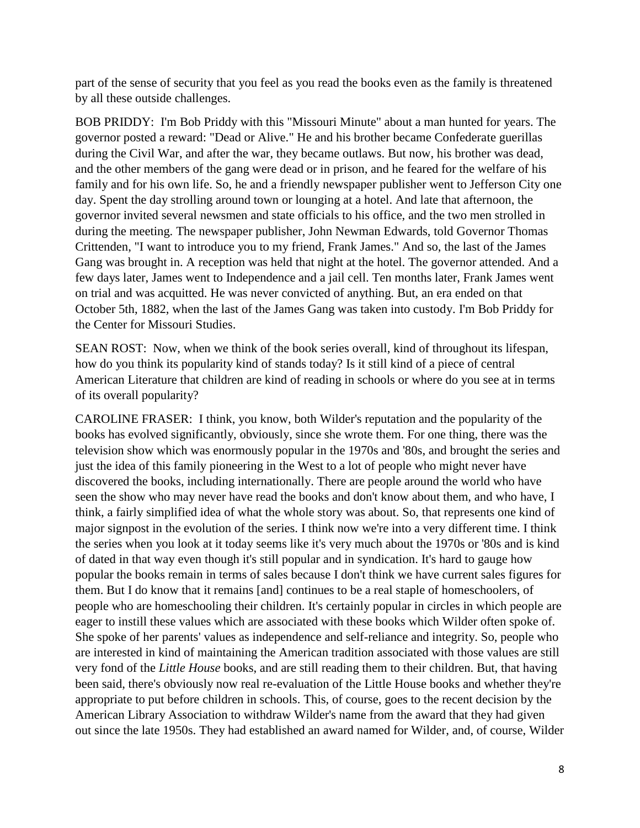part of the sense of security that you feel as you read the books even as the family is threatened by all these outside challenges.

BOB PRIDDY: I'm Bob Priddy with this "Missouri Minute" about a man hunted for years. The governor posted a reward: "Dead or Alive." He and his brother became Confederate guerillas during the Civil War, and after the war, they became outlaws. But now, his brother was dead, and the other members of the gang were dead or in prison, and he feared for the welfare of his family and for his own life. So, he and a friendly newspaper publisher went to Jefferson City one day. Spent the day strolling around town or lounging at a hotel. And late that afternoon, the governor invited several newsmen and state officials to his office, and the two men strolled in during the meeting. The newspaper publisher, John Newman Edwards, told Governor Thomas Crittenden, "I want to introduce you to my friend, Frank James." And so, the last of the James Gang was brought in. A reception was held that night at the hotel. The governor attended. And a few days later, James went to Independence and a jail cell. Ten months later, Frank James went on trial and was acquitted. He was never convicted of anything. But, an era ended on that October 5th, 1882, when the last of the James Gang was taken into custody. I'm Bob Priddy for the Center for Missouri Studies.

SEAN ROST: Now, when we think of the book series overall, kind of throughout its lifespan, how do you think its popularity kind of stands today? Is it still kind of a piece of central American Literature that children are kind of reading in schools or where do you see at in terms of its overall popularity?

CAROLINE FRASER: I think, you know, both Wilder's reputation and the popularity of the books has evolved significantly, obviously, since she wrote them. For one thing, there was the television show which was enormously popular in the 1970s and '80s, and brought the series and just the idea of this family pioneering in the West to a lot of people who might never have discovered the books, including internationally. There are people around the world who have seen the show who may never have read the books and don't know about them, and who have, I think, a fairly simplified idea of what the whole story was about. So, that represents one kind of major signpost in the evolution of the series. I think now we're into a very different time. I think the series when you look at it today seems like it's very much about the 1970s or '80s and is kind of dated in that way even though it's still popular and in syndication. It's hard to gauge how popular the books remain in terms of sales because I don't think we have current sales figures for them. But I do know that it remains [and] continues to be a real staple of homeschoolers, of people who are homeschooling their children. It's certainly popular in circles in which people are eager to instill these values which are associated with these books which Wilder often spoke of. She spoke of her parents' values as independence and self-reliance and integrity. So, people who are interested in kind of maintaining the American tradition associated with those values are still very fond of the *Little House* books, and are still reading them to their children. But, that having been said, there's obviously now real re-evaluation of the Little House books and whether they're appropriate to put before children in schools. This, of course, goes to the recent decision by the American Library Association to withdraw Wilder's name from the award that they had given out since the late 1950s. They had established an award named for Wilder, and, of course, Wilder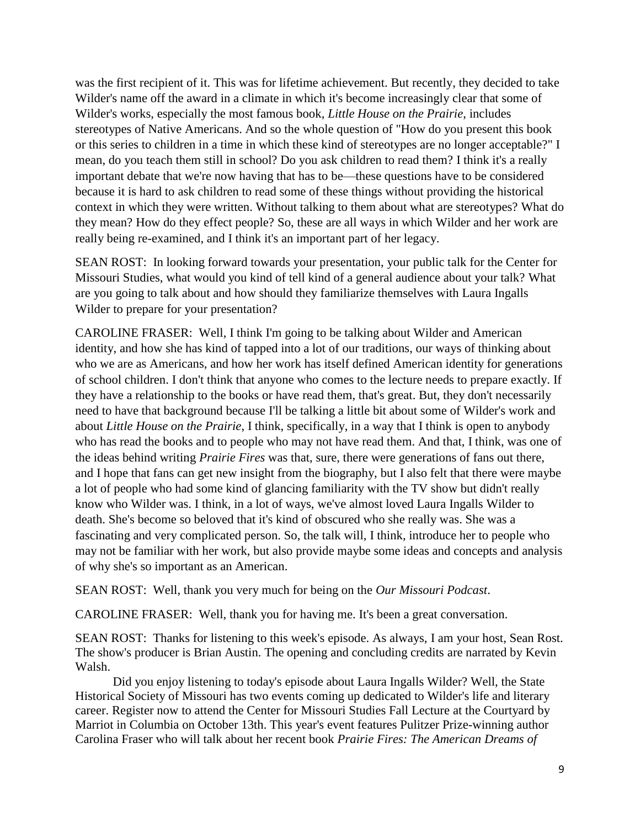was the first recipient of it. This was for lifetime achievement. But recently, they decided to take Wilder's name off the award in a climate in which it's become increasingly clear that some of Wilder's works, especially the most famous book, *Little House on the Prairie*, includes stereotypes of Native Americans. And so the whole question of "How do you present this book or this series to children in a time in which these kind of stereotypes are no longer acceptable?" I mean, do you teach them still in school? Do you ask children to read them? I think it's a really important debate that we're now having that has to be—these questions have to be considered because it is hard to ask children to read some of these things without providing the historical context in which they were written. Without talking to them about what are stereotypes? What do they mean? How do they effect people? So, these are all ways in which Wilder and her work are really being re-examined, and I think it's an important part of her legacy.

SEAN ROST: In looking forward towards your presentation, your public talk for the Center for Missouri Studies, what would you kind of tell kind of a general audience about your talk? What are you going to talk about and how should they familiarize themselves with Laura Ingalls Wilder to prepare for your presentation?

CAROLINE FRASER: Well, I think I'm going to be talking about Wilder and American identity, and how she has kind of tapped into a lot of our traditions, our ways of thinking about who we are as Americans, and how her work has itself defined American identity for generations of school children. I don't think that anyone who comes to the lecture needs to prepare exactly. If they have a relationship to the books or have read them, that's great. But, they don't necessarily need to have that background because I'll be talking a little bit about some of Wilder's work and about *Little House on the Prairie*, I think, specifically, in a way that I think is open to anybody who has read the books and to people who may not have read them. And that, I think, was one of the ideas behind writing *Prairie Fires* was that, sure, there were generations of fans out there, and I hope that fans can get new insight from the biography, but I also felt that there were maybe a lot of people who had some kind of glancing familiarity with the TV show but didn't really know who Wilder was. I think, in a lot of ways, we've almost loved Laura Ingalls Wilder to death. She's become so beloved that it's kind of obscured who she really was. She was a fascinating and very complicated person. So, the talk will, I think, introduce her to people who may not be familiar with her work, but also provide maybe some ideas and concepts and analysis of why she's so important as an American.

SEAN ROST: Well, thank you very much for being on the *Our Missouri Podcast*.

CAROLINE FRASER: Well, thank you for having me. It's been a great conversation.

SEAN ROST: Thanks for listening to this week's episode. As always, I am your host, Sean Rost. The show's producer is Brian Austin. The opening and concluding credits are narrated by Kevin Walsh.

Did you enjoy listening to today's episode about Laura Ingalls Wilder? Well, the State Historical Society of Missouri has two events coming up dedicated to Wilder's life and literary career. Register now to attend the Center for Missouri Studies Fall Lecture at the Courtyard by Marriot in Columbia on October 13th. This year's event features Pulitzer Prize-winning author Carolina Fraser who will talk about her recent book *Prairie Fires: The American Dreams of*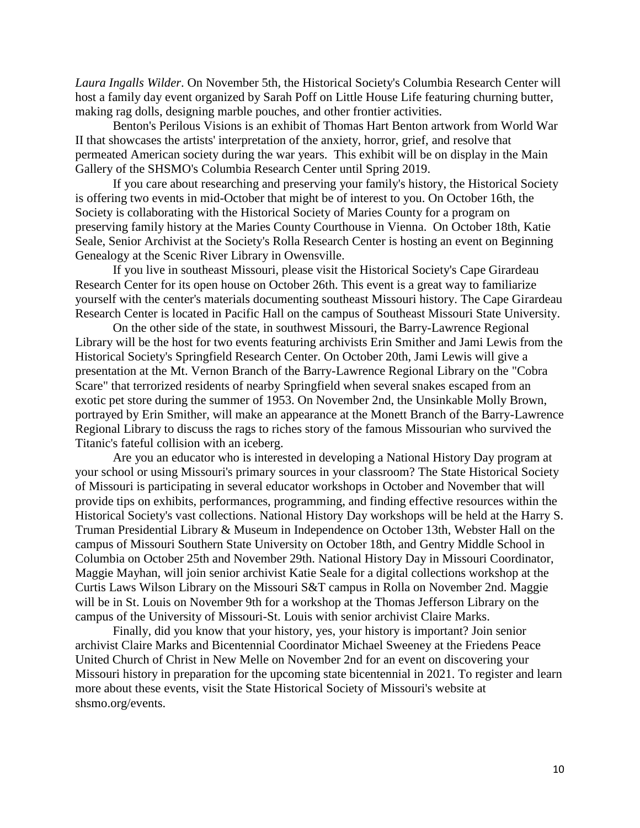*Laura Ingalls Wilder*. On November 5th, the Historical Society's Columbia Research Center will host a family day event organized by Sarah Poff on Little House Life featuring churning butter, making rag dolls, designing marble pouches, and other frontier activities.

Benton's Perilous Visions is an exhibit of Thomas Hart Benton artwork from World War II that showcases the artists' interpretation of the anxiety, horror, grief, and resolve that permeated American society during the war years. This exhibit will be on display in the Main Gallery of the SHSMO's Columbia Research Center until Spring 2019.

If you care about researching and preserving your family's history, the Historical Society is offering two events in mid-October that might be of interest to you. On October 16th, the Society is collaborating with the Historical Society of Maries County for a program on preserving family history at the Maries County Courthouse in Vienna. On October 18th, Katie Seale, Senior Archivist at the Society's Rolla Research Center is hosting an event on Beginning Genealogy at the Scenic River Library in Owensville.

If you live in southeast Missouri, please visit the Historical Society's Cape Girardeau Research Center for its open house on October 26th. This event is a great way to familiarize yourself with the center's materials documenting southeast Missouri history. The Cape Girardeau Research Center is located in Pacific Hall on the campus of Southeast Missouri State University.

On the other side of the state, in southwest Missouri, the Barry-Lawrence Regional Library will be the host for two events featuring archivists Erin Smither and Jami Lewis from the Historical Society's Springfield Research Center. On October 20th, Jami Lewis will give a presentation at the Mt. Vernon Branch of the Barry-Lawrence Regional Library on the "Cobra Scare" that terrorized residents of nearby Springfield when several snakes escaped from an exotic pet store during the summer of 1953. On November 2nd, the Unsinkable Molly Brown, portrayed by Erin Smither, will make an appearance at the Monett Branch of the Barry-Lawrence Regional Library to discuss the rags to riches story of the famous Missourian who survived the Titanic's fateful collision with an iceberg.

Are you an educator who is interested in developing a National History Day program at your school or using Missouri's primary sources in your classroom? The State Historical Society of Missouri is participating in several educator workshops in October and November that will provide tips on exhibits, performances, programming, and finding effective resources within the Historical Society's vast collections. National History Day workshops will be held at the Harry S. Truman Presidential Library & Museum in Independence on October 13th, Webster Hall on the campus of Missouri Southern State University on October 18th, and Gentry Middle School in Columbia on October 25th and November 29th. National History Day in Missouri Coordinator, Maggie Mayhan, will join senior archivist Katie Seale for a digital collections workshop at the Curtis Laws Wilson Library on the Missouri S&T campus in Rolla on November 2nd. Maggie will be in St. Louis on November 9th for a workshop at the Thomas Jefferson Library on the campus of the University of Missouri-St. Louis with senior archivist Claire Marks.

Finally, did you know that your history, yes, your history is important? Join senior archivist Claire Marks and Bicentennial Coordinator Michael Sweeney at the Friedens Peace United Church of Christ in New Melle on November 2nd for an event on discovering your Missouri history in preparation for the upcoming state bicentennial in 2021. To register and learn more about these events, visit the State Historical Society of Missouri's website at shsmo.org/events.